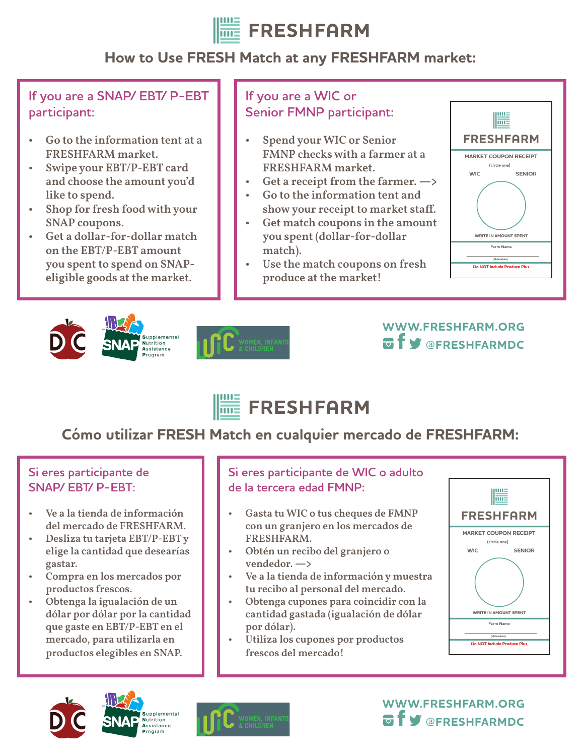

# **How to Use FRESH Match at any FRESHFARM market:**

**If you are a SNAP/ EBT/ P-EBT participant:**

- Go to the information tent at a FRESHFARM market.
- Swipe your EBT/P-EBT card and choose the amount you'd like to spend.
- Shop for fresh food with your SNAP coupons.
- Get a dollar-for-dollar match on the EBT/P-EBT amount you spent to spend on SNAPeligible goods at the market.

### **If you are a WIC or Senior FMNP participant:**

- Spend your WIC or Senior FMNP checks with a farmer at a FRESHFARM market.
- Get a receipt from the farmer.  $\rightarrow$
- Go to the information tent and show your receipt to market staff.
- Get match coupons in the amount you spent (dollar-for-dollar match).
- Use the match coupons on fresh produce at the market!











# **Cómo utilizar FRESH Match en cualquier mercado de FRESHFARM:**

#### **Si eres participante de SNAP/ EBT/ P-EBT:**

- Ve a la tienda de información del mercado de FRESHFARM.
- Desliza tu tarjeta EBT/P-EBT y elige la cantidad que desearías gastar.
- Compra en los mercados por productos frescos.
- Obtenga la igualación de un dólar por dólar por la cantidad que gaste en EBT/P-EBT en el mercado, para utilizarla en productos elegibles en SNAP.

#### **Si eres participante de WIC o adulto de la tercera edad FMNP:**

- Gasta tu WIC o tus cheques de FMNP con un granjero en los mercados de FRESHFARM.
- Obtén un recibo del granjero o vendedor. **—>**
- Ve a la tienda de información y muestra tu recibo al personal del mercado.
- Obtenga cupones para coincidir con la cantidad gastada (igualación de dólar por dólar).
- Utiliza los cupones por productos frescos del mercado!









**WWW.FRESHFARM.ORG @FRESHFARMDC**